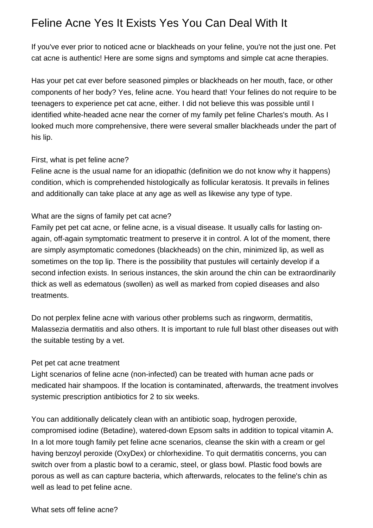## Feline Acne Yes It Exists Yes You Can Deal With It

If you've ever prior to noticed acne or blackheads on your feline, you're not the just one. Pet cat acne is authentic! Here are some signs and symptoms and simple cat acne therapies.

Has your pet cat ever before seasoned pimples or blackheads on her mouth, face, or other components of her body? Yes, feline acne. You heard that! Your felines do not require to be teenagers to experience pet cat acne, either. I did not believe this was possible until I identified white-headed acne near the corner of my family pet feline Charles's mouth. As I looked much more comprehensive, there were several smaller blackheads under the part of his lip.

## First, what is pet feline acne?

Feline acne is the usual name for an idiopathic (definition we do not know why it happens) condition, which is comprehended histologically as follicular keratosis. It prevails in felines and additionally can take place at any age as well as likewise any type of type.

## What are the signs of family pet cat acne?

Family pet pet cat acne, or feline acne, is a visual disease. It usually calls for lasting onagain, off-again symptomatic treatment to preserve it in control. A lot of the moment, there are simply asymptomatic comedones (blackheads) on the chin, minimized lip, as well as sometimes on the top lip. There is the possibility that pustules will certainly develop if a second infection exists. In serious instances, the skin around the chin can be extraordinarily thick as well as edematous (swollen) as well as marked from copied diseases and also treatments.

Do not perplex feline acne with various other problems such as ringworm, dermatitis, Malassezia dermatitis and also others. It is important to rule full blast other diseases out with the suitable testing by a vet.

## Pet pet cat acne treatment

Light scenarios of feline acne (non-infected) can be treated with human acne pads or medicated hair shampoos. If the location is contaminated, afterwards, the treatment involves systemic prescription antibiotics for 2 to six weeks.

You can additionally delicately clean with an antibiotic soap, hydrogen peroxide, compromised iodine (Betadine), watered-down Epsom salts in addition to topical vitamin A. In a lot more tough family pet feline acne scenarios, cleanse the skin with a cream or gel having benzoyl peroxide (OxyDex) or chlorhexidine. To quit dermatitis concerns, you can switch over from a plastic bowl to a ceramic, steel, or glass bowl. Plastic food bowls are porous as well as can capture bacteria, which afterwards, relocates to the feline's chin as well as lead to pet feline acne.

What sets off feline acne?